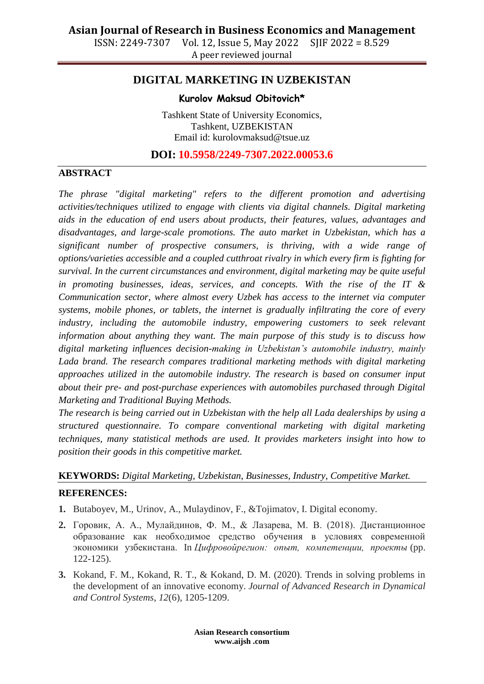ISSN: 2249-7307 Vol. 12, Issue 5, May 2022 SJIF 2022 = 8.529 A peer reviewed journal

### **DIGITAL MARKETING IN UZBEKISTAN**

#### **Kurolov Maksud Obitovich\***

Tashkent State of University Economics, Tashkent, UZBEKISTAN Email id: kurolovmaksud@tsue.uz

**DOI: 10.5958/2249-7307.2022.00053.6**

### **ABSTRACT**

*The phrase "digital marketing" refers to the different promotion and advertising activities/techniques utilized to engage with clients via digital channels. Digital marketing aids in the education of end users about products, their features, values, advantages and disadvantages, and large-scale promotions. The auto market in Uzbekistan, which has a significant number of prospective consumers, is thriving, with a wide range of options/varieties accessible and a coupled cutthroat rivalry in which every firm is fighting for survival. In the current circumstances and environment, digital marketing may be quite useful in promoting businesses, ideas, services, and concepts. With the rise of the IT & Communication sector, where almost every Uzbek has access to the internet via computer systems, mobile phones, or tablets, the internet is gradually infiltrating the core of every industry, including the automobile industry, empowering customers to seek relevant information about anything they want. The main purpose of this study is to discuss how digital marketing influences decision-making in Uzbekistan's automobile industry, mainly Lada brand. The research compares traditional marketing methods with digital marketing approaches utilized in the automobile industry. The research is based on consumer input about their pre- and post-purchase experiences with automobiles purchased through Digital Marketing and Traditional Buying Methods.*

*The research is being carried out in Uzbekistan with the help all Lada dealerships by using a structured questionnaire. To compare conventional marketing with digital marketing techniques, many statistical methods are used. It provides marketers insight into how to position their goods in this competitive market.*

# **KEYWORDS:** *Digital Marketing, Uzbekistan, Businesses, Industry, Competitive Market.*

#### **REFERENCES:**

- **1.** Butaboyev, M., Urinov, A., Mulaydinov, F., &Tojimatov, I. Digital economy.
- **2.** Горовик, А. А., Мулайдинов, Ф. М., & Лазарева, М. В. (2018). Дистанционное образование как необходимое средство обучения в условиях современной экономики узбекистана. In *Цифровойрегион: опыт, компетенции, проекты* (pp. 122-125).
- **3.** Kokand, F. M., Kokand, R. T., & Kokand, D. M. (2020). Trends in solving problems in the development of an innovative economy. *Journal of Advanced Research in Dynamical and Control Systems*, *12*(6), 1205-1209.

**Asian Research consortium www.aijsh .com**